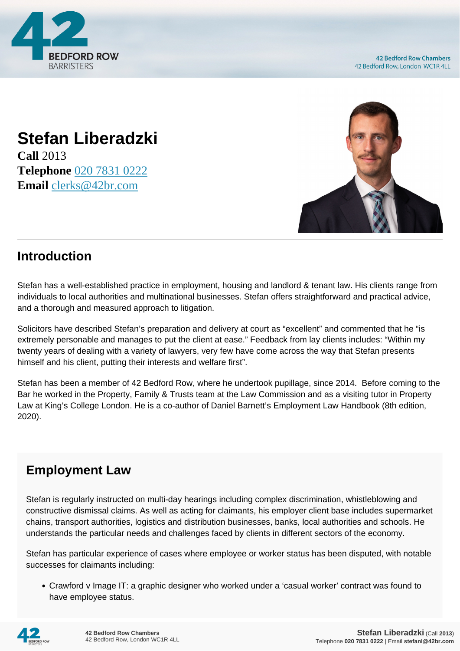

## **Stefan Liberadzki**

**Call** 2013 **Telephone** [020 7831 0222](https://pdf.codeshore.co/_42br/tel:020 7831 0222) **Email** [clerks@42br.com](mailto:clerks@42br.com)



## **Introduction**

Stefan has a well-established practice in employment, housing and landlord & tenant law. His clients range from individuals to local authorities and multinational businesses. Stefan offers straightforward and practical advice, and a thorough and measured approach to litigation.

Solicitors have described Stefan's preparation and delivery at court as "excellent" and commented that he "is extremely personable and manages to put the client at ease." Feedback from lay clients includes: "Within my twenty years of dealing with a variety of lawyers, very few have come across the way that Stefan presents himself and his client, putting their interests and welfare first".

Stefan has been a member of 42 Bedford Row, where he undertook pupillage, since 2014. Before coming to the Bar he worked in the Property, Family & Trusts team at the Law Commission and as a visiting tutor in Property Law at King's College London. He is a co-author of Daniel Barnett's Employment Law Handbook (8th edition, 2020).

## **Employment Law**

Stefan is regularly instructed on multi-day hearings including complex discrimination, whistleblowing and constructive dismissal claims. As well as acting for claimants, his employer client base includes supermarket chains, transport authorities, logistics and distribution businesses, banks, local authorities and schools. He understands the particular needs and challenges faced by clients in different sectors of the economy.

Stefan has particular experience of cases where employee or worker status has been disputed, with notable successes for claimants including:

Crawford v Image IT: a graphic designer who worked under a 'casual worker' contract was found to have employee status.